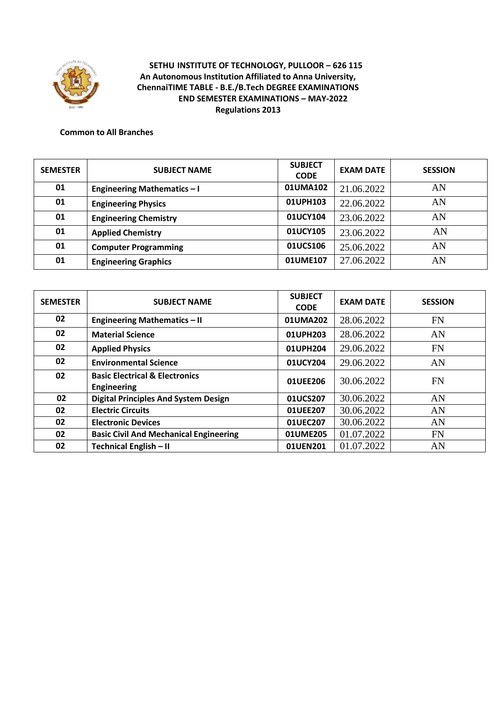

### **Common to All Branches**

| <b>SEMESTER</b> | <b>SUBJECT NAME</b>                | <b>SUBJECT</b><br><b>CODE</b> | <b>EXAM DATE</b> | <b>SESSION</b> |
|-----------------|------------------------------------|-------------------------------|------------------|----------------|
| 01              | <b>Engineering Mathematics - I</b> | 01UMA102                      | 21.06.2022       | AN             |
| 01              | <b>Engineering Physics</b>         | 01UPH103                      | 22.06.2022       | AN             |
| 01              | <b>Engineering Chemistry</b>       | 01UCY104                      | 23.06.2022       | AN             |
| 01              | <b>Applied Chemistry</b>           | 01UCY105                      | 23.06.2022       | AN             |
| 01              | <b>Computer Programming</b>        | 01UCS106                      | 25.06.2022       | AN             |
| 01              | <b>Engineering Graphics</b>        | 01UME107                      | 27.06.2022       | AN             |

| <b>SEMESTER</b> | <b>SUBJECT NAME</b>                                             | <b>SUBJECT</b><br><b>CODE</b> | <b>EXAM DATE</b> | <b>SESSION</b> |
|-----------------|-----------------------------------------------------------------|-------------------------------|------------------|----------------|
| 02              | <b>Engineering Mathematics - II</b>                             | 01UMA202                      | 28.06.2022       | <b>FN</b>      |
| 02              | <b>Material Science</b>                                         | 01UPH203                      | 28.06.2022       | AN             |
| 02              | <b>Applied Physics</b>                                          | 01UPH204                      | 29.06.2022       | <b>FN</b>      |
| 02              | <b>Environmental Science</b>                                    | 01UCY204                      | 29.06.2022       | AN             |
| 02              | <b>Basic Electrical &amp; Electronics</b><br><b>Engineering</b> | 01UEE206                      | 30.06.2022       | <b>FN</b>      |
| 02              | <b>Digital Principles And System Design</b>                     | 01UCS207                      | 30.06.2022       | AN             |
| 02              | <b>Electric Circuits</b>                                        | 01UEE207                      | 30.06.2022       | AN             |
| 02              | <b>Electronic Devices</b>                                       | 01UEC207                      | 30.06.2022       | AN             |
| 02              | <b>Basic Civil And Mechanical Engineering</b>                   | 01UME205                      | 01.07.2022       | <b>FN</b>      |
| 02              | Technical English - II                                          | 01UEN201                      | 01.07.2022       | AN             |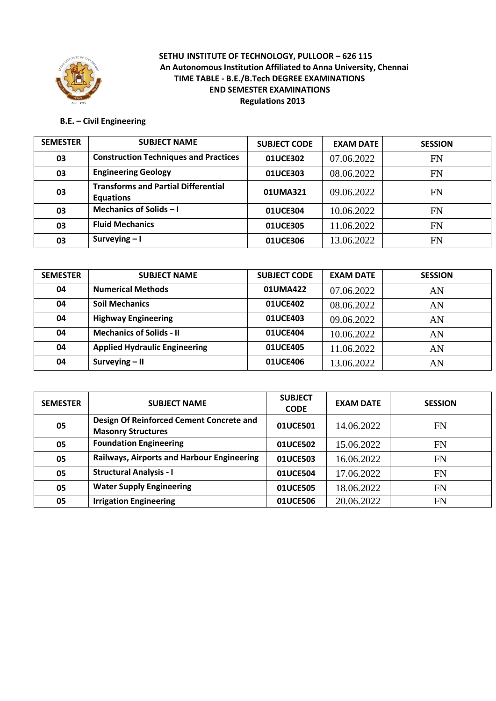

# **B.E. – Civil Engineering**

| <b>SEMESTER</b> | <b>SUBJECT NAME</b>                                            | <b>SUBJECT CODE</b> | <b>EXAM DATE</b> | <b>SESSION</b> |
|-----------------|----------------------------------------------------------------|---------------------|------------------|----------------|
| 03              | <b>Construction Techniques and Practices</b>                   | 01UCE302            | 07.06.2022       | <b>FN</b>      |
| 03              | <b>Engineering Geology</b>                                     | 01UCE303            | 08.06.2022       | <b>FN</b>      |
| 03              | <b>Transforms and Partial Differential</b><br><b>Equations</b> | 01UMA321            | 09.06.2022       | FN             |
| 03              | Mechanics of Solids $-1$                                       | 01UCE304            | 10.06.2022       | FN             |
| 03              | <b>Fluid Mechanics</b>                                         | 01UCE305            | 11.06.2022       | <b>FN</b>      |
| 03              | Surveying $-1$                                                 | 01UCE306            | 13.06.2022       | <b>FN</b>      |

| <b>SEMESTER</b> | <b>SUBJECT NAME</b>                  | <b>SUBJECT CODE</b> | <b>EXAM DATE</b> | <b>SESSION</b> |
|-----------------|--------------------------------------|---------------------|------------------|----------------|
| 04              | <b>Numerical Methods</b>             | 01UMA422            | 07.06.2022       | AN             |
| 04              | <b>Soil Mechanics</b>                | 01UCE402            | 08.06.2022       | AN             |
| 04              | <b>Highway Engineering</b>           | 01UCE403            | 09.06.2022       | AN             |
| 04              | <b>Mechanics of Solids - II</b>      | 01UCE404            | 10.06.2022       | AN             |
| 04              | <b>Applied Hydraulic Engineering</b> | 01UCE405            | 11.06.2022       | AN             |
| 04              | Surveying $-$ II                     | 01UCE406            | 13.06.2022       | AN             |

| <b>SEMESTER</b> | <b>SUBJECT NAME</b>                                                   | <b>SUBJECT</b><br><b>CODE</b> | <b>EXAM DATE</b> | <b>SESSION</b> |
|-----------------|-----------------------------------------------------------------------|-------------------------------|------------------|----------------|
| 05              | Design Of Reinforced Cement Concrete and<br><b>Masonry Structures</b> | 01UCE501                      | 14.06.2022       | FN             |
| 05              | <b>Foundation Engineering</b>                                         | 01UCE502                      | 15.06.2022       | FN             |
| 05              | Railways, Airports and Harbour Engineering                            | 01UCE503                      | 16.06.2022       | <b>FN</b>      |
| 05              | <b>Structural Analysis - I</b>                                        | 01UCE504                      | 17.06.2022       | <b>FN</b>      |
| 05              | <b>Water Supply Engineering</b>                                       | 01UCE505                      | 18.06.2022       | <b>FN</b>      |
| 05              | <b>Irrigation Engineering</b>                                         | 01UCE506                      | 20.06.2022       | <b>FN</b>      |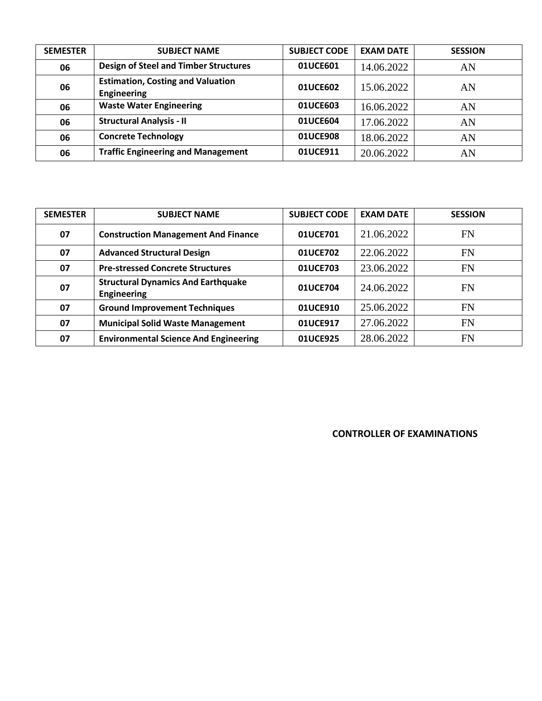| <b>SEMESTER</b> | <b>SUBJECT NAME</b>                                            | <b>SUBJECT CODE</b> | <b>EXAM DATE</b> | <b>SESSION</b> |
|-----------------|----------------------------------------------------------------|---------------------|------------------|----------------|
| 06              | <b>Design of Steel and Timber Structures</b>                   | 01UCE601            | 14.06.2022       | AN             |
| 06              | <b>Estimation, Costing and Valuation</b><br><b>Engineering</b> | 01UCE602            | 15.06.2022       | AN             |
| 06              | <b>Waste Water Engineering</b>                                 | 01UCE603            | 16.06.2022       | AN             |
| 06              | <b>Structural Analysis - II</b>                                | 01UCE604            | 17.06.2022       | AN             |
| 06              | <b>Concrete Technology</b>                                     | 01UCE908            | 18.06.2022       | AN             |
| 06              | <b>Traffic Engineering and Management</b>                      | 01UCE911            | 20.06.2022       | AN             |

| <b>SEMESTER</b> | <b>SUBJECT NAME</b>                                             | <b>SUBJECT CODE</b> | <b>EXAM DATE</b> | <b>SESSION</b> |
|-----------------|-----------------------------------------------------------------|---------------------|------------------|----------------|
| 07              | <b>Construction Management And Finance</b>                      | 01UCE701            | 21.06.2022       | <b>FN</b>      |
| 07              | <b>Advanced Structural Design</b>                               | 01UCE702            | 22.06.2022       | FN             |
| 07              | <b>Pre-stressed Concrete Structures</b>                         | 01UCE703            | 23.06.2022       | <b>FN</b>      |
| 07              | <b>Structural Dynamics And Earthquake</b><br><b>Engineering</b> | 01UCE704            | 24.06.2022       | <b>FN</b>      |
| 07              | <b>Ground Improvement Techniques</b>                            | 01UCE910            | 25.06.2022       | FN             |
| 07              | <b>Municipal Solid Waste Management</b>                         | 01UCE917            | 27.06.2022       | <b>FN</b>      |
| 07              | <b>Environmental Science And Engineering</b>                    | 01UCE925            | 28.06.2022       | <b>FN</b>      |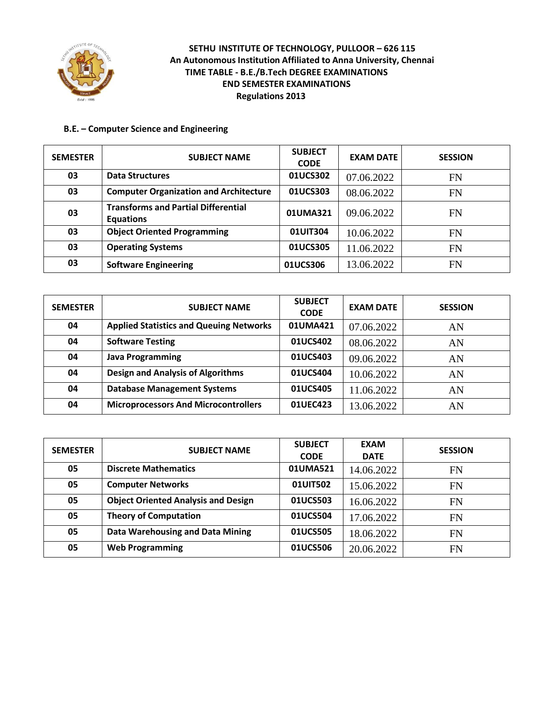

### **B.E. – Computer Science and Engineering**

| <b>SEMESTER</b> | <b>SUBJECT NAME</b>                                            | <b>SUBJECT</b><br><b>CODE</b> | <b>EXAM DATE</b> | <b>SESSION</b> |
|-----------------|----------------------------------------------------------------|-------------------------------|------------------|----------------|
| 03              | <b>Data Structures</b>                                         | 01UCS302                      | 07.06.2022       | FN             |
| 03              | <b>Computer Organization and Architecture</b>                  | 01UCS303                      | 08.06.2022       | <b>FN</b>      |
| 03              | <b>Transforms and Partial Differential</b><br><b>Equations</b> | 01UMA321                      | 09.06.2022       | <b>FN</b>      |
| 03              | <b>Object Oriented Programming</b>                             | 01UIT304                      | 10.06.2022       | FN             |
| 03              | <b>Operating Systems</b>                                       | 01UCS305                      | 11.06.2022       | <b>FN</b>      |
| 03              | <b>Software Engineering</b>                                    | 01UCS306                      | 13.06.2022       | FN             |

| <b>SEMESTER</b> | <b>SUBJECT NAME</b>                            | <b>SUBJECT</b><br><b>CODE</b> | <b>EXAM DATE</b> | <b>SESSION</b> |
|-----------------|------------------------------------------------|-------------------------------|------------------|----------------|
| 04              | <b>Applied Statistics and Queuing Networks</b> | 01UMA421                      | 07.06.2022       | AN             |
| 04              | <b>Software Testing</b>                        | 01UCS402                      | 08.06.2022       | AN             |
| 04              | <b>Java Programming</b>                        | 01UCS403                      | 09.06.2022       | AN             |
| 04              | <b>Design and Analysis of Algorithms</b>       | 01UCS404                      | 10.06.2022       | AN             |
| 04              | <b>Database Management Systems</b>             | 01UCS405                      | 11.06.2022       | AN             |
| 04              | <b>Microprocessors And Microcontrollers</b>    | 01UEC423                      | 13.06.2022       | AN             |

| <b>SEMESTER</b> | <b>SUBJECT NAME</b>                        | <b>SUBJECT</b><br><b>CODE</b> | <b>EXAM</b><br><b>DATE</b> | <b>SESSION</b> |
|-----------------|--------------------------------------------|-------------------------------|----------------------------|----------------|
| 05              | <b>Discrete Mathematics</b>                | 01UMA521                      | 14.06.2022                 | FN             |
| 05              | <b>Computer Networks</b>                   | 01UIT502                      | 15.06.2022                 | <b>FN</b>      |
| 05              | <b>Object Oriented Analysis and Design</b> | 01UCS503                      | 16.06.2022                 | <b>FN</b>      |
| 05              | <b>Theory of Computation</b>               | 01UCS504                      | 17.06.2022                 | <b>FN</b>      |
| 05              | Data Warehousing and Data Mining           | 01UCS505                      | 18.06.2022                 | <b>FN</b>      |
| 05              | <b>Web Programming</b>                     | 01UCS506                      | 20.06.2022                 | FN             |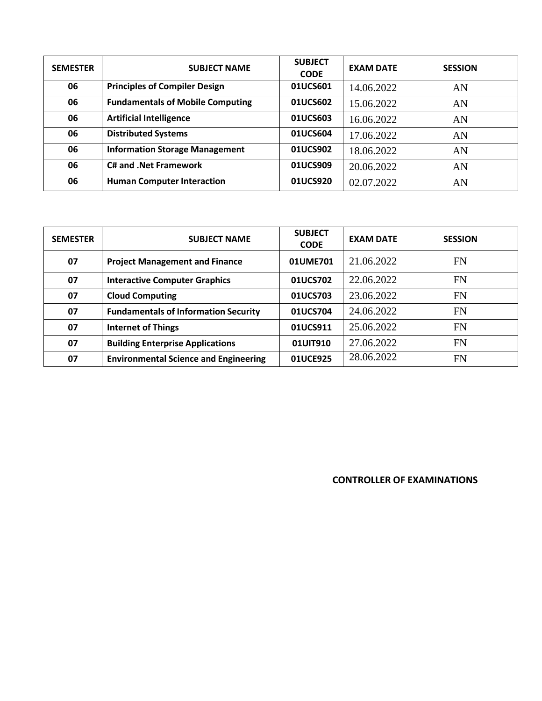| <b>SEMESTER</b> | <b>SUBJECT NAME</b>                     | <b>SUBJECT</b><br><b>CODE</b> | <b>EXAM DATE</b> | <b>SESSION</b> |
|-----------------|-----------------------------------------|-------------------------------|------------------|----------------|
| 06              | <b>Principles of Compiler Design</b>    | 01UCS601                      | 14.06.2022       | AN             |
| 06              | <b>Fundamentals of Mobile Computing</b> | 01UCS602                      | 15.06.2022       | AN             |
| 06              | <b>Artificial Intelligence</b>          | 01UCS603                      | 16.06.2022       | AN             |
| 06              | <b>Distributed Systems</b>              | 01UCS604                      | 17.06.2022       | AN             |
| 06              | <b>Information Storage Management</b>   | 01UCS902                      | 18.06.2022       | AN             |
| 06              | <b>C# and .Net Framework</b>            | 01UCS909                      | 20.06.2022       | AN             |
| 06              | <b>Human Computer Interaction</b>       | 01UCS920                      | 02.07.2022       | AN             |

| <b>SEMESTER</b> | <b>SUBJECT NAME</b>                          | <b>SUBJECT</b><br><b>CODE</b> | <b>EXAM DATE</b> | <b>SESSION</b> |
|-----------------|----------------------------------------------|-------------------------------|------------------|----------------|
| 07              | <b>Project Management and Finance</b>        | 01UME701                      | 21.06.2022       | FN             |
| 07              | <b>Interactive Computer Graphics</b>         | 01UCS702                      | 22.06.2022       | <b>FN</b>      |
| 07              | <b>Cloud Computing</b>                       | 01UCS703                      | 23.06.2022       | <b>FN</b>      |
| 07              | <b>Fundamentals of Information Security</b>  | 01UCS704                      | 24.06.2022       | <b>FN</b>      |
| 07              | <b>Internet of Things</b>                    | 01UCS911                      | 25.06.2022       | <b>FN</b>      |
| 07              | <b>Building Enterprise Applications</b>      | 01UIT910                      | 27.06.2022       | <b>FN</b>      |
| 07              | <b>Environmental Science and Engineering</b> | 01UCE925                      | 28.06.2022       | FN             |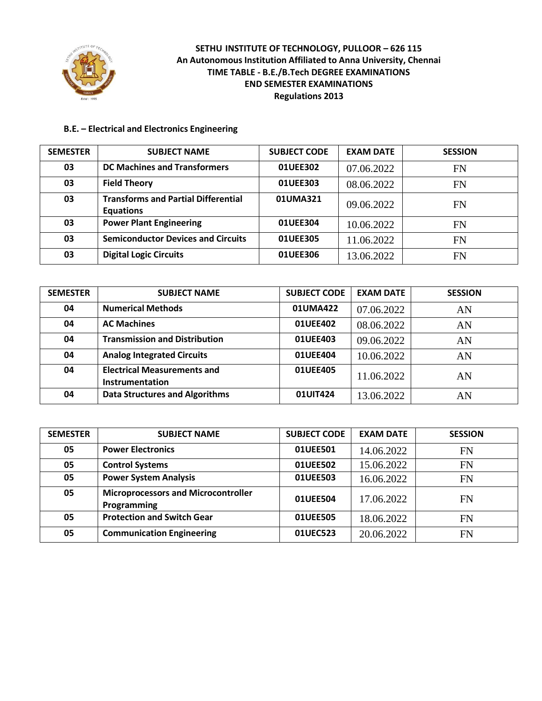

### **B.E. – Electrical and Electronics Engineering**

| <b>SEMESTER</b> | <b>SUBJECT NAME</b>                                            | <b>SUBJECT CODE</b> | <b>EXAM DATE</b> | <b>SESSION</b> |
|-----------------|----------------------------------------------------------------|---------------------|------------------|----------------|
| 03              | <b>DC Machines and Transformers</b>                            | 01UEE302            | 07.06.2022       | <b>FN</b>      |
| 03              | <b>Field Theory</b>                                            | 01UEE303            | 08.06.2022       | <b>FN</b>      |
| 03              | <b>Transforms and Partial Differential</b><br><b>Equations</b> | 01UMA321            | 09.06.2022       | FN             |
| 03              | <b>Power Plant Engineering</b>                                 | 01UEE304            | 10.06.2022       | FN             |
| 03              | <b>Semiconductor Devices and Circuits</b>                      | 01UEE305            | 11.06.2022       | <b>FN</b>      |
| 03              | <b>Digital Logic Circuits</b>                                  | 01UEE306            | 13.06.2022       | <b>FN</b>      |

| <b>SEMESTER</b> | <b>SUBJECT NAME</b>                                   | <b>SUBJECT CODE</b> | <b>EXAM DATE</b> | <b>SESSION</b> |
|-----------------|-------------------------------------------------------|---------------------|------------------|----------------|
| 04              | <b>Numerical Methods</b>                              | 01UMA422            | 07.06.2022       | AN             |
| 04              | <b>AC Machines</b>                                    | 01UEE402            | 08.06.2022       | AN             |
| 04              | <b>Transmission and Distribution</b>                  | 01UEE403            | 09.06.2022       | AN             |
| 04              | <b>Analog Integrated Circuits</b>                     | 01UEE404            | 10.06.2022       | AN             |
| 04              | <b>Electrical Measurements and</b><br>Instrumentation | 01UEE405            | 11.06.2022       | AN             |
| 04              | <b>Data Structures and Algorithms</b>                 | 01UIT424            | 13.06.2022       | AN             |

| <b>SEMESTER</b> | <b>SUBJECT NAME</b>                                       | <b>SUBJECT CODE</b> | <b>EXAM DATE</b> | <b>SESSION</b> |
|-----------------|-----------------------------------------------------------|---------------------|------------------|----------------|
| 05              | <b>Power Electronics</b>                                  | 01UEE501            | 14.06.2022       | <b>FN</b>      |
| 05              | <b>Control Systems</b>                                    | 01UEE502            | 15.06.2022       | FN             |
| 05              | <b>Power System Analysis</b>                              | 01UEE503            | 16.06.2022       | <b>FN</b>      |
| 05              | <b>Microprocessors and Microcontroller</b><br>Programming | 01UEE504            | 17.06.2022       | FN             |
| 05              | <b>Protection and Switch Gear</b>                         | 01UEE505            | 18.06.2022       | FN             |
| 05              | <b>Communication Engineering</b>                          | 01UEC523            | 20.06.2022       | <b>FN</b>      |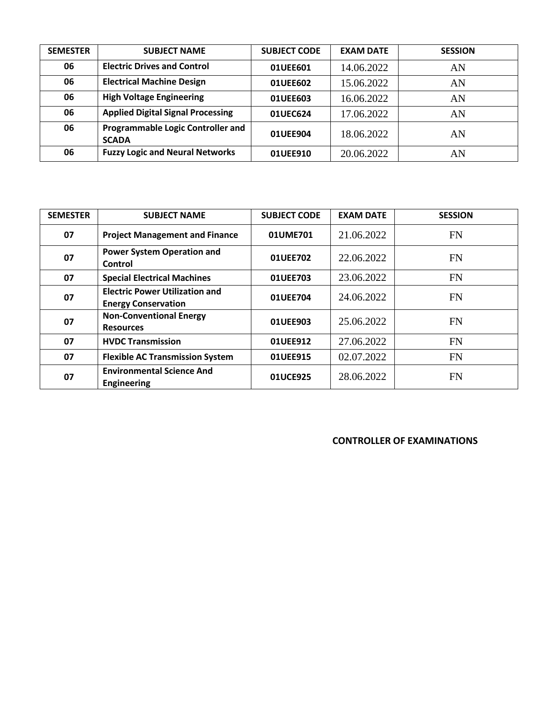| <b>SEMESTER</b> | <b>SUBJECT NAME</b>                                      | <b>SUBJECT CODE</b> | <b>EXAM DATE</b> | <b>SESSION</b> |
|-----------------|----------------------------------------------------------|---------------------|------------------|----------------|
| 06              | <b>Electric Drives and Control</b>                       | 01UEE601            | 14.06.2022       | AN             |
| 06              | <b>Electrical Machine Design</b>                         | 01UEE602            | 15.06.2022       | AN             |
| 06              | <b>High Voltage Engineering</b>                          | 01UEE603            | 16.06.2022       | AN             |
| 06              | <b>Applied Digital Signal Processing</b>                 | 01UEC624            | 17.06.2022       | AN             |
| 06              | <b>Programmable Logic Controller and</b><br><b>SCADA</b> | 01UEE904            | 18.06.2022       | AN             |
| 06              | <b>Fuzzy Logic and Neural Networks</b>                   | 01UEE910            | 20.06.2022       | AN             |

| <b>SEMESTER</b> | <b>SUBJECT NAME</b>                                                 | <b>SUBJECT CODE</b> | <b>EXAM DATE</b> | <b>SESSION</b> |
|-----------------|---------------------------------------------------------------------|---------------------|------------------|----------------|
| 07              | <b>Project Management and Finance</b>                               | 01UME701            | 21.06.2022       | FN             |
| 07              | <b>Power System Operation and</b><br>Control                        | 01UEE702            | 22.06.2022       | <b>FN</b>      |
| 07              | <b>Special Electrical Machines</b>                                  | 01UEE703            | 23.06.2022       | <b>FN</b>      |
| 07              | <b>Electric Power Utilization and</b><br><b>Energy Conservation</b> | 01UEE704            | 24.06.2022       | <b>FN</b>      |
| 07              | <b>Non-Conventional Energy</b><br><b>Resources</b>                  | 01UEE903            | 25.06.2022       | <b>FN</b>      |
| 07              | <b>HVDC Transmission</b>                                            | 01UEE912            | 27.06.2022       | <b>FN</b>      |
| 07              | <b>Flexible AC Transmission System</b>                              | 01UEE915            | 02.07.2022       | <b>FN</b>      |
| 07              | <b>Environmental Science And</b><br><b>Engineering</b>              | 01UCE925            | 28.06.2022       | FN             |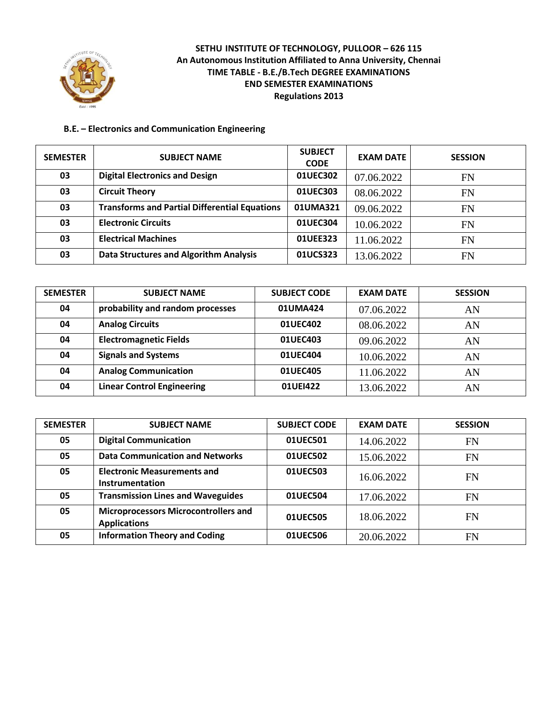

#### **B.E. – Electronics and Communication Engineering**

| <b>SEMESTER</b> | <b>SUBJECT NAME</b>                                  | <b>SUBJECT</b><br><b>CODE</b> | <b>EXAM DATE</b> | <b>SESSION</b> |
|-----------------|------------------------------------------------------|-------------------------------|------------------|----------------|
| 03              | <b>Digital Electronics and Design</b>                | 01UEC302                      | 07.06.2022       | <b>FN</b>      |
| 03              | <b>Circuit Theory</b>                                | 01UEC303                      | 08.06.2022       | <b>FN</b>      |
| 03              | <b>Transforms and Partial Differential Equations</b> | 01UMA321                      | 09.06.2022       | <b>FN</b>      |
| 03              | <b>Electronic Circuits</b>                           | 01UEC304                      | 10.06.2022       | <b>FN</b>      |
| 03              | <b>Electrical Machines</b>                           | 01UEE323                      | 11.06.2022       | <b>FN</b>      |
| 03              | <b>Data Structures and Algorithm Analysis</b>        | 01UCS323                      | 13.06.2022       | <b>FN</b>      |

| <b>SEMESTER</b> | <b>SUBJECT NAME</b>               | <b>SUBJECT CODE</b> | <b>EXAM DATE</b> | <b>SESSION</b> |
|-----------------|-----------------------------------|---------------------|------------------|----------------|
| 04              | probability and random processes  | 01UMA424            | 07.06.2022       | AN             |
| 04              | <b>Analog Circuits</b>            | 01UEC402            | 08.06.2022       | AN             |
| 04              | <b>Electromagnetic Fields</b>     | 01UEC403            | 09.06.2022       | AN             |
| 04              | <b>Signals and Systems</b>        | 01UEC404            | 10.06.2022       | AN             |
| 04              | <b>Analog Communication</b>       | 01UEC405            | 11.06.2022       | AN             |
| 04              | <b>Linear Control Engineering</b> | 01UEI422            | 13.06.2022       | AN             |

| <b>SEMESTER</b> | <b>SUBJECT NAME</b>                                                | <b>SUBJECT CODE</b> | <b>EXAM DATE</b> | <b>SESSION</b> |
|-----------------|--------------------------------------------------------------------|---------------------|------------------|----------------|
| 05              | <b>Digital Communication</b>                                       | 01UEC501            | 14.06.2022       | <b>FN</b>      |
| 05              | <b>Data Communication and Networks</b>                             | 01UEC502            | 15.06.2022       | <b>FN</b>      |
| 05              | <b>Electronic Measurements and</b><br>Instrumentation              | 01UEC503            | 16.06.2022       | FN             |
| 05              | <b>Transmission Lines and Waveguides</b>                           | 01UEC504            | 17.06.2022       | FN             |
| 05              | <b>Microprocessors Microcontrollers and</b><br><b>Applications</b> | 01UEC505            | 18.06.2022       | <b>FN</b>      |
| 05              | <b>Information Theory and Coding</b>                               | 01UEC506            | 20.06.2022       | FN             |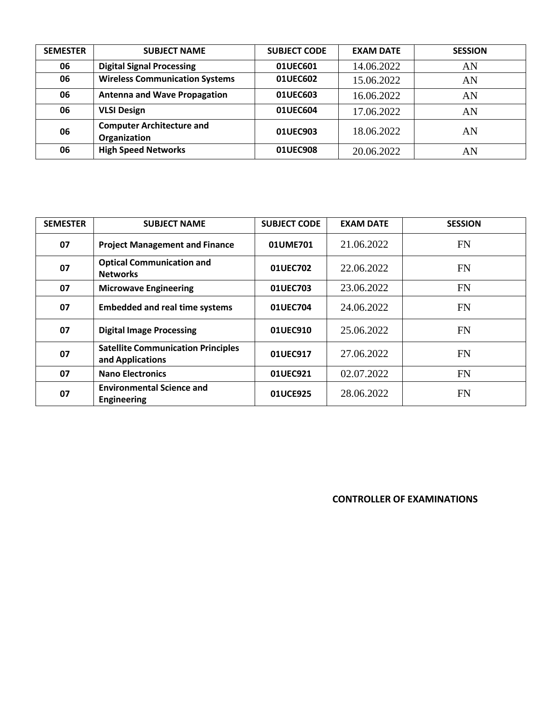| <b>SEMESTER</b> | <b>SUBJECT NAME</b>                              | <b>SUBJECT CODE</b> | <b>EXAM DATE</b> | <b>SESSION</b> |
|-----------------|--------------------------------------------------|---------------------|------------------|----------------|
| 06              | <b>Digital Signal Processing</b>                 | 01UEC601            | 14.06.2022       | AN             |
| 06              | <b>Wireless Communication Systems</b>            | 01UEC602            | 15.06.2022       | AN             |
| 06              | <b>Antenna and Wave Propagation</b>              | 01UEC603            | 16.06.2022       | AN             |
| 06              | <b>VLSI Design</b>                               | 01UEC604            | 17.06.2022       | AN             |
| 06              | <b>Computer Architecture and</b><br>Organization | 01UEC903            | 18.06.2022       | AN             |
| 06              | <b>High Speed Networks</b>                       | 01UEC908            | 20.06.2022       | AN             |

| <b>SEMESTER</b> | <b>SUBJECT NAME</b>                                           | <b>SUBJECT CODE</b> | <b>EXAM DATE</b> | <b>SESSION</b> |
|-----------------|---------------------------------------------------------------|---------------------|------------------|----------------|
| 07              | <b>Project Management and Finance</b>                         | 01UME701            | 21.06.2022       | <b>FN</b>      |
| 07              | <b>Optical Communication and</b><br><b>Networks</b>           | 01UEC702            | 22.06.2022       | <b>FN</b>      |
| 07              | <b>Microwave Engineering</b>                                  | 01UEC703            | 23.06.2022       | <b>FN</b>      |
| 07              | <b>Embedded and real time systems</b>                         | 01UEC704            | 24.06.2022       | <b>FN</b>      |
| 07              | <b>Digital Image Processing</b>                               | 01UEC910            | 25.06.2022       | <b>FN</b>      |
| 07              | <b>Satellite Communication Principles</b><br>and Applications | 01UEC917            | 27.06.2022       | <b>FN</b>      |
| 07              | <b>Nano Electronics</b>                                       | 01UEC921            | 02.07.2022       | <b>FN</b>      |
| 07              | <b>Environmental Science and</b><br><b>Engineering</b>        | 01UCE925            | 28.06.2022       | <b>FN</b>      |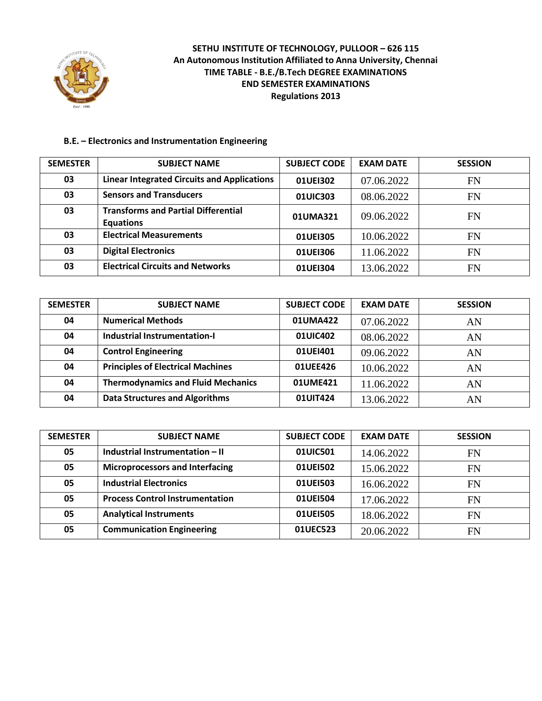

# **B.E. – Electronics and Instrumentation Engineering**

| <b>SEMESTER</b> | <b>SUBJECT NAME</b>                                            | <b>SUBJECT CODE</b> | <b>EXAM DATE</b> | <b>SESSION</b> |
|-----------------|----------------------------------------------------------------|---------------------|------------------|----------------|
| 03              | <b>Linear Integrated Circuits and Applications</b>             | 01UE1302            | 07.06.2022       | FN             |
| 03              | <b>Sensors and Transducers</b>                                 | 01UIC303            | 08.06.2022       | FN             |
| 03              | <b>Transforms and Partial Differential</b><br><b>Equations</b> | 01UMA321            | 09.06.2022       | FN             |
| 03              | <b>Electrical Measurements</b>                                 | 01UEI305            | 10.06.2022       | FN             |
| 03              | <b>Digital Electronics</b>                                     | 01UEI306            | 11.06.2022       | <b>FN</b>      |
| 03              | <b>Electrical Circuits and Networks</b>                        | 01UEI304            | 13.06.2022       | FN             |

| <b>SEMESTER</b> | <b>SUBJECT NAME</b>                       | <b>SUBJECT CODE</b> | <b>EXAM DATE</b> | <b>SESSION</b> |
|-----------------|-------------------------------------------|---------------------|------------------|----------------|
| 04              | <b>Numerical Methods</b>                  | 01UMA422            | 07.06.2022       | AN             |
| 04              | <b>Industrial Instrumentation-I</b>       | 01UIC402            | 08.06.2022       | AN             |
| 04              | <b>Control Engineering</b>                | 01UEI401            | 09.06.2022       | AN             |
| 04              | <b>Principles of Electrical Machines</b>  | 01UEE426            | 10.06.2022       | AN             |
| 04              | <b>Thermodynamics and Fluid Mechanics</b> | 01UME421            | 11.06.2022       | AN             |
| 04              | <b>Data Structures and Algorithms</b>     | 01UIT424            | 13.06.2022       | AN             |

| <b>SEMESTER</b> | <b>SUBJECT NAME</b>                    | <b>SUBJECT CODE</b> | <b>EXAM DATE</b> | <b>SESSION</b> |
|-----------------|----------------------------------------|---------------------|------------------|----------------|
| 05              | Industrial Instrumentation - II        | 01UIC501            | 14.06.2022       | FN             |
| 05              | <b>Microprocessors and Interfacing</b> | 01UE1502            | 15.06.2022       | <b>FN</b>      |
| 05              | <b>Industrial Electronics</b>          | 01UEI503            | 16.06.2022       | FN             |
| 05              | <b>Process Control Instrumentation</b> | 01UE1504            | 17.06.2022       | <b>FN</b>      |
| 05              | <b>Analytical Instruments</b>          | 01UEI505            | 18.06.2022       | <b>FN</b>      |
| 05              | <b>Communication Engineering</b>       | 01UEC523            | 20.06.2022       | <b>FN</b>      |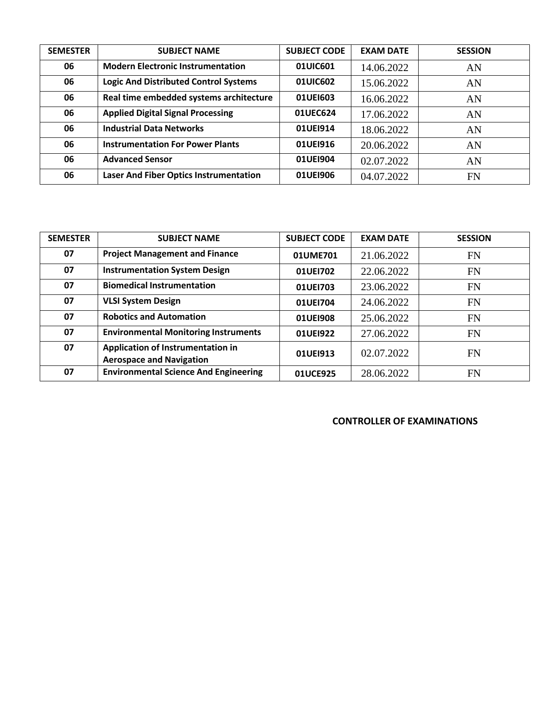| <b>SEMESTER</b> | <b>SUBJECT NAME</b>                           | <b>SUBJECT CODE</b> | <b>EXAM DATE</b> | <b>SESSION</b> |
|-----------------|-----------------------------------------------|---------------------|------------------|----------------|
| 06              | <b>Modern Electronic Instrumentation</b>      | 01UIC601            | 14.06.2022       | AN             |
| 06              | <b>Logic And Distributed Control Systems</b>  | 01UIC602            | 15.06.2022       | AN             |
| 06              | Real time embedded systems architecture       | 01UE1603            | 16.06.2022       | AN             |
| 06              | <b>Applied Digital Signal Processing</b>      | 01UEC624            | 17.06.2022       | AN             |
| 06              | <b>Industrial Data Networks</b>               | 01UE1914            | 18.06.2022       | AN             |
| 06              | <b>Instrumentation For Power Plants</b>       | 01UE1916            | 20.06.2022       | AN             |
| 06              | <b>Advanced Sensor</b>                        | 01UE1904            | 02.07.2022       | AN             |
| 06              | <b>Laser And Fiber Optics Instrumentation</b> | 01UE1906            | 04.07.2022       | FN             |

| <b>SEMESTER</b> | <b>SUBJECT NAME</b>                                                  | <b>SUBJECT CODE</b> | <b>EXAM DATE</b> | <b>SESSION</b> |
|-----------------|----------------------------------------------------------------------|---------------------|------------------|----------------|
| 07              | <b>Project Management and Finance</b>                                | 01UME701            | 21.06.2022       | <b>FN</b>      |
| 07              | <b>Instrumentation System Design</b>                                 | 01UE1702            | 22.06.2022       | <b>FN</b>      |
| 07              | <b>Biomedical Instrumentation</b>                                    | 01UEI703            | 23.06.2022       | <b>FN</b>      |
| 07              | <b>VLSI System Design</b>                                            | 01UEI704            | 24.06.2022       | <b>FN</b>      |
| 07              | <b>Robotics and Automation</b>                                       | 01UE1908            | 25.06.2022       | <b>FN</b>      |
| 07              | <b>Environmental Monitoring Instruments</b>                          | 01UE1922            | 27.06.2022       | <b>FN</b>      |
| 07              | Application of Instrumentation in<br><b>Aerospace and Navigation</b> | 01UEI913            | 02.07.2022       | <b>FN</b>      |
| 07              | <b>Environmental Science And Engineering</b>                         | 01UCE925            | 28.06.2022       | FN             |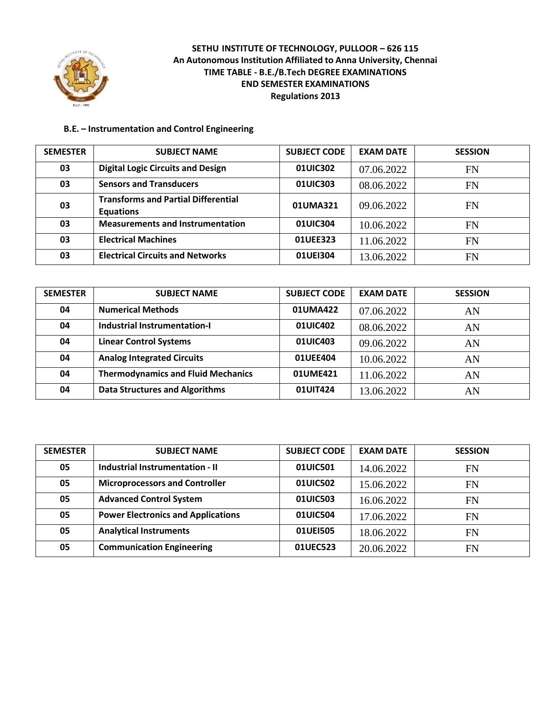

### **B.E. – Instrumentation and Control Engineering**

| <b>SEMESTER</b> | <b>SUBJECT NAME</b>                                            | <b>SUBJECT CODE</b> | <b>EXAM DATE</b> | <b>SESSION</b> |
|-----------------|----------------------------------------------------------------|---------------------|------------------|----------------|
| 03              | <b>Digital Logic Circuits and Design</b>                       | 01UIC302            | 07.06.2022       | <b>FN</b>      |
| 03              | <b>Sensors and Transducers</b>                                 | 01UIC303            | 08.06.2022       | <b>FN</b>      |
| 03              | <b>Transforms and Partial Differential</b><br><b>Equations</b> | 01UMA321            | 09.06.2022       | FN             |
| 03              | <b>Measurements and Instrumentation</b>                        | 01UIC304            | 10.06.2022       | FN             |
| 03              | <b>Electrical Machines</b>                                     | 01UEE323            | 11.06.2022       | <b>FN</b>      |
| 03              | <b>Electrical Circuits and Networks</b>                        | 01UE1304            | 13.06.2022       | <b>FN</b>      |

| <b>SEMESTER</b> | <b>SUBJECT NAME</b>                       | <b>SUBJECT CODE</b> | <b>EXAM DATE</b> | <b>SESSION</b> |
|-----------------|-------------------------------------------|---------------------|------------------|----------------|
| 04              | <b>Numerical Methods</b>                  | 01UMA422            | 07.06.2022       | AN             |
| 04              | <b>Industrial Instrumentation-I</b>       | 01UIC402            | 08.06.2022       | AN             |
| 04              | <b>Linear Control Systems</b>             | 01UIC403            | 09.06.2022       | AN             |
| 04              | <b>Analog Integrated Circuits</b>         | 01UEE404            | 10.06.2022       | AN             |
| 04              | <b>Thermodynamics and Fluid Mechanics</b> | 01UME421            | 11.06.2022       | AN             |
| 04              | <b>Data Structures and Algorithms</b>     | 01UIT424            | 13.06.2022       | AN             |

| <b>SEMESTER</b> | <b>SUBJECT NAME</b>                       | <b>SUBJECT CODE</b> | <b>EXAM DATE</b> | <b>SESSION</b> |
|-----------------|-------------------------------------------|---------------------|------------------|----------------|
| 05              | Industrial Instrumentation - II           | 01UIC501            | 14.06.2022       | <b>FN</b>      |
| 05              | <b>Microprocessors and Controller</b>     | 01UIC502            | 15.06.2022       | <b>FN</b>      |
| 05              | <b>Advanced Control System</b>            | 01UIC503            | 16.06.2022       | <b>FN</b>      |
| 05              | <b>Power Electronics and Applications</b> | 01UIC504            | 17.06.2022       | <b>FN</b>      |
| 05              | <b>Analytical Instruments</b>             | 01UEI505            | 18.06.2022       | FN             |
| 05              | <b>Communication Engineering</b>          | 01UEC523            | 20.06.2022       | FN             |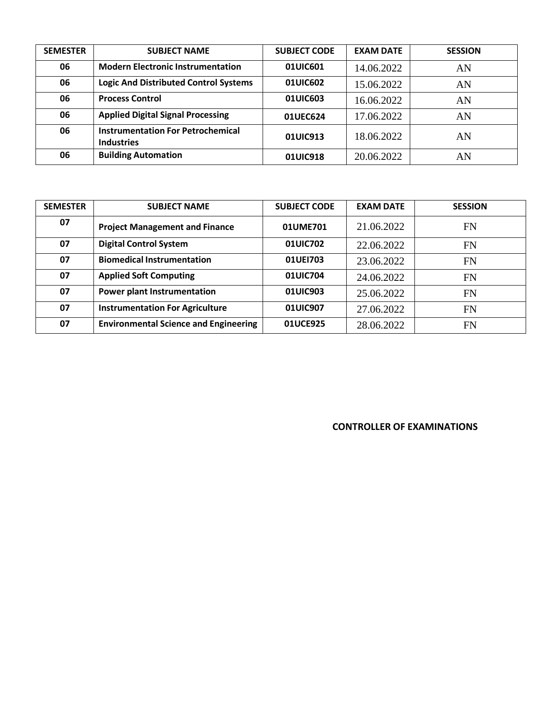| <b>SEMESTER</b> | <b>SUBJECT NAME</b>                                           | <b>SUBJECT CODE</b> | <b>EXAM DATE</b> | <b>SESSION</b> |
|-----------------|---------------------------------------------------------------|---------------------|------------------|----------------|
| 06              | <b>Modern Electronic Instrumentation</b>                      | 01UIC601            | 14.06.2022       | AN             |
| 06              | <b>Logic And Distributed Control Systems</b>                  | 01UIC602            | 15.06.2022       | AN             |
| 06              | <b>Process Control</b>                                        | 01UIC603            | 16.06.2022       | AN             |
| 06              | <b>Applied Digital Signal Processing</b>                      | 01UEC624            | 17.06.2022       | AN             |
| 06              | <b>Instrumentation For Petrochemical</b><br><b>Industries</b> | 01UIC913            | 18.06.2022       | AN             |
| 06              | <b>Building Automation</b>                                    | 01UIC918            | 20.06.2022       | AN             |

| <b>SEMESTER</b> | <b>SUBJECT NAME</b>                          | <b>SUBJECT CODE</b> | <b>EXAM DATE</b> | <b>SESSION</b> |
|-----------------|----------------------------------------------|---------------------|------------------|----------------|
| 07              | <b>Project Management and Finance</b>        | 01UME701            | 21.06.2022       | FN             |
| 07              | <b>Digital Control System</b>                | 01UIC702            | 22.06.2022       | <b>FN</b>      |
| 07              | <b>Biomedical Instrumentation</b>            | 01UE1703            | 23.06.2022       | <b>FN</b>      |
| 07              | <b>Applied Soft Computing</b>                | 01UIC704            | 24.06.2022       | <b>FN</b>      |
| 07              | <b>Power plant Instrumentation</b>           | 01UIC903            | 25.06.2022       | <b>FN</b>      |
| 07              | <b>Instrumentation For Agriculture</b>       | 01UIC907            | 27.06.2022       | <b>FN</b>      |
| 07              | <b>Environmental Science and Engineering</b> | 01UCE925            | 28.06.2022       | <b>FN</b>      |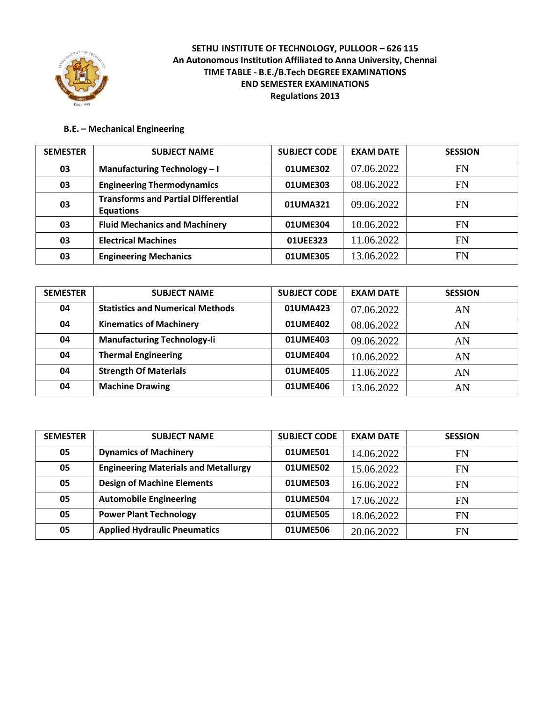

#### **B.E. – Mechanical Engineering**

| <b>SEMESTER</b> | <b>SUBJECT NAME</b>                                            | <b>SUBJECT CODE</b> | <b>EXAM DATE</b> | <b>SESSION</b> |
|-----------------|----------------------------------------------------------------|---------------------|------------------|----------------|
| 03              | Manufacturing Technology - I                                   | 01UME302            | 07.06.2022       | FN             |
| 03              | <b>Engineering Thermodynamics</b>                              | 01UME303            | 08.06.2022       | FN             |
| 03              | <b>Transforms and Partial Differential</b><br><b>Equations</b> | 01UMA321            | 09.06.2022       | FN             |
| 03              | <b>Fluid Mechanics and Machinery</b>                           | 01UME304            | 10.06.2022       | FN             |
| 03              | <b>Electrical Machines</b>                                     | 01UEE323            | 11.06.2022       | <b>FN</b>      |
| 03              | <b>Engineering Mechanics</b>                                   | 01UME305            | 13.06.2022       | FN             |

| <b>SEMESTER</b> | <b>SUBJECT NAME</b>                     | <b>SUBJECT CODE</b> | <b>EXAM DATE</b> | <b>SESSION</b> |
|-----------------|-----------------------------------------|---------------------|------------------|----------------|
| 04              | <b>Statistics and Numerical Methods</b> | 01UMA423            | 07.06.2022       | AN             |
| 04              | <b>Kinematics of Machinery</b>          | 01UME402            | 08.06.2022       | AN             |
| 04              | <b>Manufacturing Technology-li</b>      | 01UME403            | 09.06.2022       | AN             |
| 04              | <b>Thermal Engineering</b>              | 01UME404            | 10.06.2022       | AN             |
| 04              | <b>Strength Of Materials</b>            | 01UME405            | 11.06.2022       | AN             |
| 04              | <b>Machine Drawing</b>                  | 01UME406            | 13.06.2022       | AN             |

| <b>SEMESTER</b> | <b>SUBJECT NAME</b>                         | <b>SUBJECT CODE</b> | <b>EXAM DATE</b> | <b>SESSION</b> |
|-----------------|---------------------------------------------|---------------------|------------------|----------------|
| 05              | <b>Dynamics of Machinery</b>                | 01UME501            | 14.06.2022       | FN             |
| 05              | <b>Engineering Materials and Metallurgy</b> | 01UME502            | 15.06.2022       | <b>FN</b>      |
| 05              | <b>Design of Machine Elements</b>           | 01UME503            | 16.06.2022       | FN             |
| 05              | <b>Automobile Engineering</b>               | 01UME504            | 17.06.2022       | FN             |
| 05              | <b>Power Plant Technology</b>               | 01UME505            | 18.06.2022       | FN             |
| 05              | <b>Applied Hydraulic Pneumatics</b>         | 01UME506            | 20.06.2022       | FN             |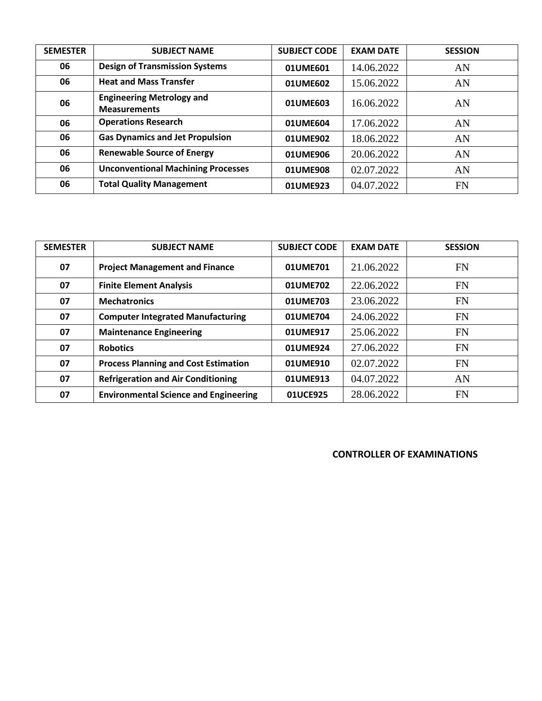| <b>SEMESTER</b> | <b>SUBJECT NAME</b>                                     | <b>SUBJECT CODE</b> | <b>EXAM DATE</b> | <b>SESSION</b> |
|-----------------|---------------------------------------------------------|---------------------|------------------|----------------|
| 06              | <b>Design of Transmission Systems</b>                   | 01UME601            | 14.06.2022       | AN             |
| 06              | <b>Heat and Mass Transfer</b>                           | 01UME602            | 15.06.2022       | AN             |
| 06              | <b>Engineering Metrology and</b><br><b>Measurements</b> | 01UME603            | 16.06.2022       | AN             |
| 06              | <b>Operations Research</b>                              | 01UME604            | 17.06.2022       | AN             |
| 06              | <b>Gas Dynamics and Jet Propulsion</b>                  | 01UME902            | 18.06.2022       | AN             |
| 06              | <b>Renewable Source of Energy</b>                       | 01UME906            | 20.06.2022       | AN             |
| 06              | <b>Unconventional Machining Processes</b>               | 01UME908            | 02.07.2022       | AN             |
| 06              | <b>Total Quality Management</b>                         | 01UME923            | 04.07.2022       | <b>FN</b>      |

| <b>SEMESTER</b> | <b>SUBJECT NAME</b>                          | <b>SUBJECT CODE</b> | <b>EXAM DATE</b> | <b>SESSION</b> |
|-----------------|----------------------------------------------|---------------------|------------------|----------------|
| 07              | <b>Project Management and Finance</b>        | 01UME701            | 21.06.2022       | <b>FN</b>      |
| 07              | <b>Finite Element Analysis</b>               | 01UME702            | 22.06.2022       | <b>FN</b>      |
| 07              | <b>Mechatronics</b>                          | 01UME703            | 23.06.2022       | <b>FN</b>      |
| 07              | <b>Computer Integrated Manufacturing</b>     | 01UME704            | 24.06.2022       | <b>FN</b>      |
| 07              | <b>Maintenance Engineering</b>               | 01UME917            | 25.06.2022       | <b>FN</b>      |
| 07              | <b>Robotics</b>                              | 01UME924            | 27.06.2022       | FN             |
| 07              | <b>Process Planning and Cost Estimation</b>  | 01UME910            | 02.07.2022       | <b>FN</b>      |
| 07              | <b>Refrigeration and Air Conditioning</b>    | 01UME913            | 04.07.2022       | AN             |
| 07              | <b>Environmental Science and Engineering</b> | 01UCE925            | 28.06.2022       | <b>FN</b>      |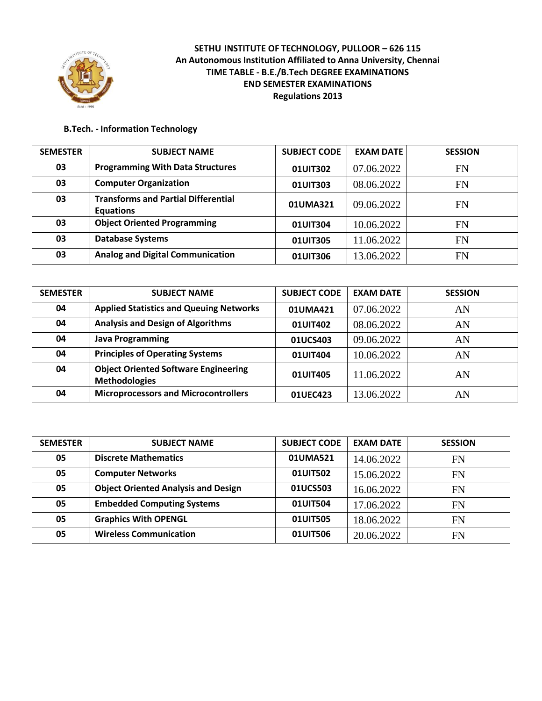

#### **B.Tech. - Information Technology**

| <b>SEMESTER</b> | <b>SUBJECT NAME</b>                                            | <b>SUBJECT CODE</b> | <b>EXAM DATE</b> | <b>SESSION</b> |
|-----------------|----------------------------------------------------------------|---------------------|------------------|----------------|
| 03              | <b>Programming With Data Structures</b>                        | 01UIT302            | 07.06.2022       | FN             |
| 03              | <b>Computer Organization</b>                                   | 01UIT303            | 08.06.2022       | FN             |
| 03              | <b>Transforms and Partial Differential</b><br><b>Equations</b> | 01UMA321            | 09.06.2022       | FN             |
| 03              | <b>Object Oriented Programming</b>                             | 01UIT304            | 10.06.2022       | FN             |
| 03              | <b>Database Systems</b>                                        | 01UIT305            | 11.06.2022       | FN             |
| 03              | <b>Analog and Digital Communication</b>                        | 01UIT306            | 13.06.2022       | FN             |

| <b>SEMESTER</b> | <b>SUBJECT NAME</b>                                                 | <b>SUBJECT CODE</b> | <b>EXAM DATE</b> | <b>SESSION</b> |
|-----------------|---------------------------------------------------------------------|---------------------|------------------|----------------|
| 04              | <b>Applied Statistics and Queuing Networks</b>                      | 01UMA421            | 07.06.2022       | AN             |
| 04              | <b>Analysis and Design of Algorithms</b>                            | 01UIT402            | 08.06.2022       | AN             |
| 04              | <b>Java Programming</b>                                             | 01UCS403            | 09.06.2022       | AN             |
| 04              | <b>Principles of Operating Systems</b>                              | 01UIT404            | 10.06.2022       | AN             |
| 04              | <b>Object Oriented Software Engineering</b><br><b>Methodologies</b> | 01UIT405            | 11.06.2022       | AN             |
| 04              | <b>Microprocessors and Microcontrollers</b>                         | 01UEC423            | 13.06.2022       | AN             |

| <b>SEMESTER</b> | <b>SUBJECT NAME</b>                        | <b>SUBJECT CODE</b> | <b>EXAM DATE</b> | <b>SESSION</b> |
|-----------------|--------------------------------------------|---------------------|------------------|----------------|
| 05              | <b>Discrete Mathematics</b>                | 01UMA521            | 14.06.2022       | FN             |
| 05              | <b>Computer Networks</b>                   | 01UIT502            | 15.06.2022       | FN             |
| 05              | <b>Object Oriented Analysis and Design</b> | 01UCS503            | 16.06.2022       | FN             |
| 05              | <b>Embedded Computing Systems</b>          | 01UIT504            | 17.06.2022       | <b>FN</b>      |
| 05              | <b>Graphics With OPENGL</b>                | 01UIT505            | 18.06.2022       | <b>FN</b>      |
| 05              | <b>Wireless Communication</b>              | 01UIT506            | 20.06.2022       | <b>FN</b>      |